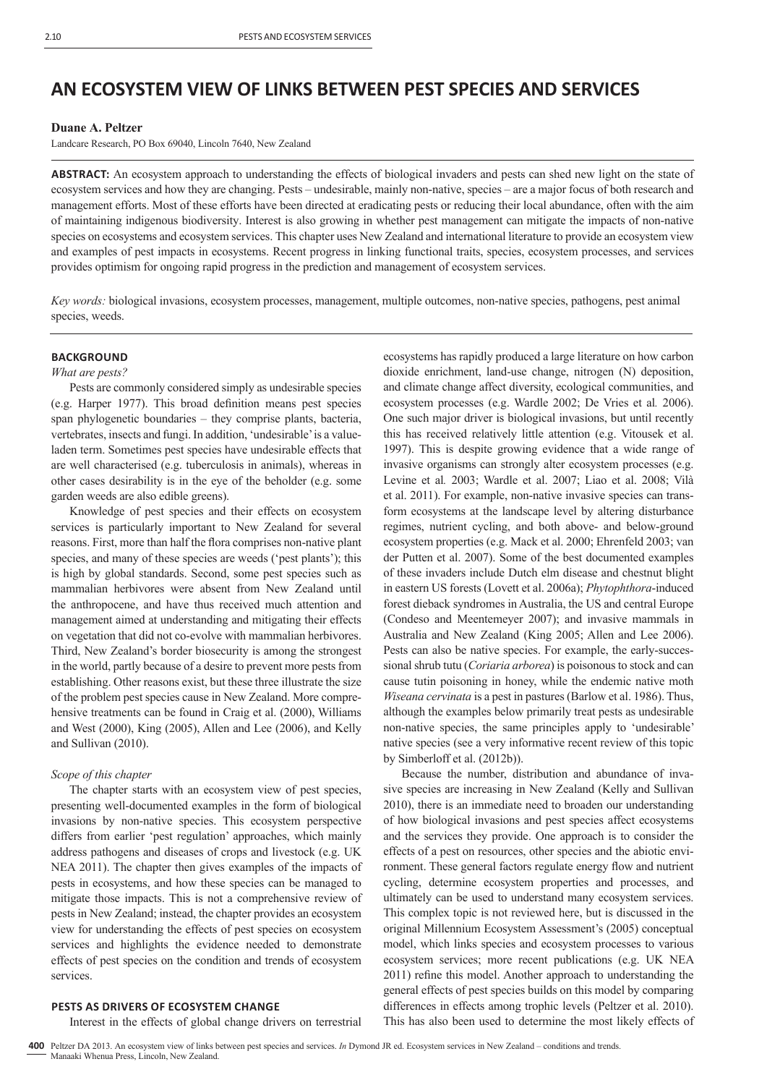# **AN ECOSYSTEM VIEW OF LINKS BETWEEN PEST SPECIES AND SERVICES**

# **Duane A. Peltzer**

Landcare Research, PO Box 69040, Lincoln 7640, New Zealand

**ABSTRACT:** An ecosystem approach to understanding the effects of biological invaders and pests can shed new light on the state of ecosystem services and how they are changing. Pests – undesirable, mainly non-native, species – are a major focus of both research and management efforts. Most of these efforts have been directed at eradicating pests or reducing their local abundance, often with the aim of maintaining indigenous biodiversity. Interest is also growing in whether pest management can mitigate the impacts of non-native species on ecosystems and ecosystem services. This chapter uses New Zealand and international literature to provide an ecosystem view and examples of pest impacts in ecosystems. Recent progress in linking functional traits, species, ecosystem processes, and services provides optimism for ongoing rapid progress in the prediction and management of ecosystem services.

*Key words:* biological invasions, ecosystem processes, management, multiple outcomes, non-native species, pathogens, pest animal species, weeds.

### **BACKGROUND**

# *What are pests?*

Pests are commonly considered simply as undesirable species (e.g. Harper 1977). This broad definition means pest species span phylogenetic boundaries – they comprise plants, bacteria, vertebrates, insects and fungi. In addition, 'undesirable' is a valueladen term. Sometimes pest species have undesirable effects that are well characterised (e.g. tuberculosis in animals), whereas in other cases desirability is in the eye of the beholder (e.g. some garden weeds are also edible greens).

Knowledge of pest species and their effects on ecosystem services is particularly important to New Zealand for several reasons. First, more than half the flora comprises non-native plant species, and many of these species are weeds ('pest plants'); this is high by global standards. Second, some pest species such as mammalian herbivores were absent from New Zealand until the anthropocene, and have thus received much attention and management aimed at understanding and mitigating their effects on vegetation that did not co-evolve with mammalian herbivores. Third, New Zealand's border biosecurity is among the strongest in the world, partly because of a desire to prevent more pests from establishing. Other reasons exist, but these three illustrate the size of the problem pest species cause in New Zealand. More comprehensive treatments can be found in Craig et al. (2000), Williams and West (2000), King (2005), Allen and Lee (2006), and Kelly and Sullivan (2010).

#### *Scope of this chapter*

The chapter starts with an ecosystem view of pest species, presenting well-documented examples in the form of biological invasions by non-native species. This ecosystem perspective differs from earlier 'pest regulation' approaches, which mainly address pathogens and diseases of crops and livestock (e.g. UK NEA 2011). The chapter then gives examples of the impacts of pests in ecosystems, and how these species can be managed to mitigate those impacts. This is not a comprehensive review of pests in New Zealand; instead, the chapter provides an ecosystem view for understanding the effects of pest species on ecosystem services and highlights the evidence needed to demonstrate effects of pest species on the condition and trends of ecosystem services.

# **PESTS AS DRIVERS OF ECOSYSTEM CHANGE**

Interest in the effects of global change drivers on terrestrial

ecosystems has rapidly produced a large literature on how carbon dioxide enrichment, land-use change, nitrogen (N) deposition, and climate change affect diversity, ecological communities, and ecosystem processes (e.g. Wardle 2002; De Vries et al*.* 2006). One such major driver is biological invasions, but until recently this has received relatively little attention (e.g. Vitousek et al. 1997). This is despite growing evidence that a wide range of invasive organisms can strongly alter ecosystem processes (e.g. Levine et al. 2003; Wardle et al. 2007; Liao et al. 2008; Vilà et al. 2011). For example, non-native invasive species can transform ecosystems at the landscape level by altering disturbance regimes, nutrient cycling, and both above- and below-ground ecosystem properties (e.g. Mack et al. 2000; Ehrenfeld 2003; van der Putten et al. 2007). Some of the best documented examples of these invaders include Dutch elm disease and chestnut blight in eastern US forests (Lovett et al. 2006a); *Phytophthora*-induced forest dieback syndromes in Australia, the US and central Europe (Condeso and Meentemeyer 2007); and invasive mammals in Australia and New Zealand (King 2005; Allen and Lee 2006). Pests can also be native species. For example, the early-successional shrub tutu (*Coriaria arborea*) is poisonous to stock and can cause tutin poisoning in honey, while the endemic native moth *Wiseana cervinata* is a pest in pastures (Barlow et al. 1986). Thus, although the examples below primarily treat pests as undesirable non-native species, the same principles apply to 'undesirable' native species (see a very informative recent review of this topic by Simberloff et al. (2012b)).

Because the number, distribution and abundance of invasive species are increasing in New Zealand (Kelly and Sullivan 2010), there is an immediate need to broaden our understanding of how biological invasions and pest species affect ecosystems and the services they provide. One approach is to consider the effects of a pest on resources, other species and the abiotic environment. These general factors regulate energy flow and nutrient cycling, determine ecosystem properties and processes, and ultimately can be used to understand many ecosystem services. This complex topic is not reviewed here, but is discussed in the original Millennium Ecosystem Assessment's (2005) conceptual model, which links species and ecosystem processes to various ecosystem services; more recent publications (e.g. UK NEA 2011) refine this model. Another approach to understanding the general effects of pest species builds on this model by comparing differences in effects among trophic levels (Peltzer et al. 2010). This has also been used to determine the most likely effects of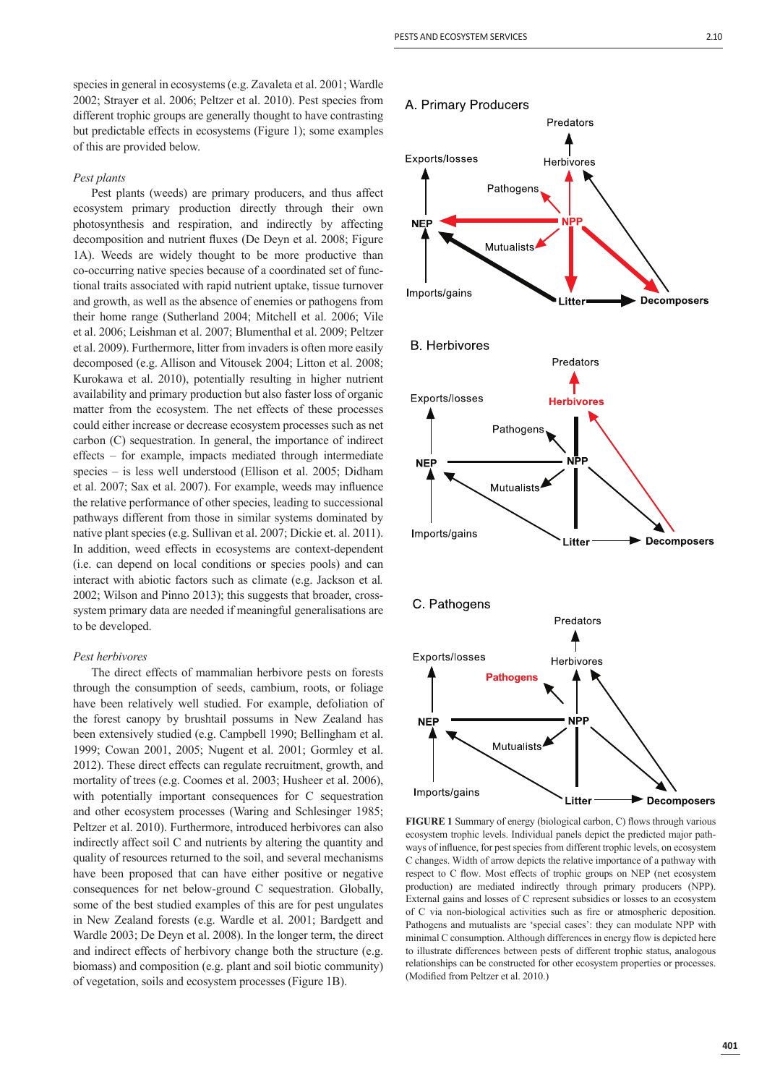species in general in ecosystems (e.g. Zavaleta et al. 2001; Wardle 2002; Strayer et al. 2006; Peltzer et al. 2010). Pest species from different trophic groups are generally thought to have contrasting but predictable effects in ecosystems (Figure 1); some examples of this are provided below.

# *Pest plants*

Pest plants (weeds) are primary producers, and thus affect ecosystem primary production directly through their own photosynthesis and respiration, and indirectly by affecting decomposition and nutrient fluxes (De Deyn et al. 2008; Figure 1A). Weeds are widely thought to be more productive than co-occurring native species because of a coordinated set of functional traits associated with rapid nutrient uptake, tissue turnover and growth, as well as the absence of enemies or pathogens from their home range (Sutherland 2004; Mitchell et al. 2006; Vile et al. 2006; Leishman et al. 2007; Blumenthal et al. 2009; Peltzer et al. 2009). Furthermore, litter from invaders is often more easily decomposed (e.g. Allison and Vitousek 2004; Litton et al. 2008; Kurokawa et al. 2010), potentially resulting in higher nutrient availability and primary production but also faster loss of organic matter from the ecosystem. The net effects of these processes could either increase or decrease ecosystem processes such as net carbon (C) sequestration. In general, the importance of indirect effects – for example, impacts mediated through intermediate species – is less well understood (Ellison et al. 2005; Didham et al. 2007; Sax et al. 2007). For example, weeds may influence the relative performance of other species, leading to successional pathways different from those in similar systems dominated by native plant species (e.g. Sullivan et al. 2007; Dickie et. al. 2011). In addition, weed effects in ecosystems are context-dependent (i.e. can depend on local conditions or species pools) and can interact with abiotic factors such as climate (e.g. Jackson et al*.* 2002; Wilson and Pinno 2013); this suggests that broader, crosssystem primary data are needed if meaningful generalisations are to be developed.

### *Pest herbivores*

The direct effects of mammalian herbivore pests on forests through the consumption of seeds, cambium, roots, or foliage have been relatively well studied. For example, defoliation of the forest canopy by brushtail possums in New Zealand has been extensively studied (e.g. Campbell 1990; Bellingham et al. 1999; Cowan 2001, 2005; Nugent et al. 2001; Gormley et al. 2012). These direct effects can regulate recruitment, growth, and mortality of trees (e.g. Coomes et al. 2003; Husheer et al. 2006), with potentially important consequences for C sequestration and other ecosystem processes (Waring and Schlesinger 1985; Peltzer et al. 2010). Furthermore, introduced herbivores can also indirectly affect soil C and nutrients by altering the quantity and quality of resources returned to the soil, and several mechanisms have been proposed that can have either positive or negative consequences for net below-ground C sequestration. Globally, some of the best studied examples of this are for pest ungulates in New Zealand forests (e.g. Wardle et al. 2001; Bardgett and Wardle 2003; De Deyn et al. 2008). In the longer term, the direct and indirect effects of herbivory change both the structure (e.g. biomass) and composition (e.g. plant and soil biotic community) of vegetation, soils and ecosystem processes (Figure 1B).

# A. Primary Producers



**FIGURE 1** Summary of energy (biological carbon, C) flows through various ecosystem trophic levels. Individual panels depict the predicted major pathways of influence, for pest species from different trophic levels, on ecosystem C changes. Width of arrow depicts the relative importance of a pathway with respect to C flow. Most effects of trophic groups on NEP (net ecosystem production) are mediated indirectly through primary producers (NPP). External gains and losses of C represent subsidies or losses to an ecosystem of C via non-biological activities such as fire or atmospheric deposition. Pathogens and mutualists are 'special cases': they can modulate NPP with minimal C consumption. Although differences in energy flow is depicted here to illustrate differences between pests of different trophic status, analogous relationships can be constructed for other ecosystem properties or processes. (Modified from Peltzer et al. 2010.)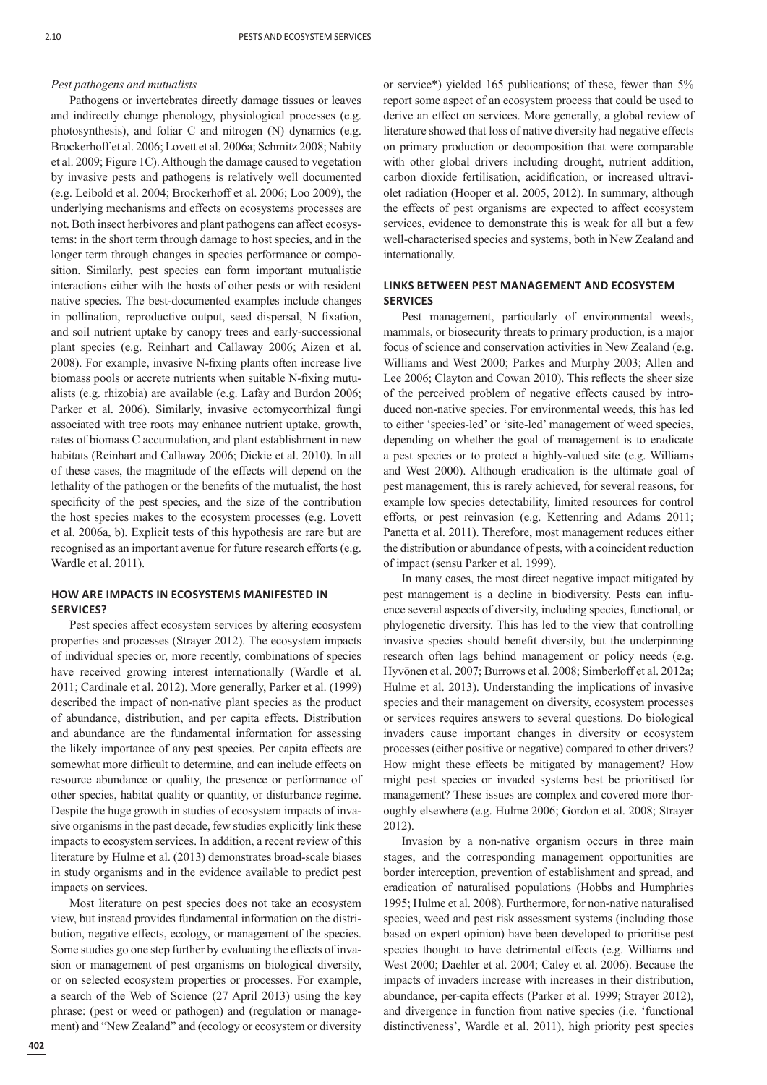### *Pest pathogens and mutualists*

Pathogens or invertebrates directly damage tissues or leaves and indirectly change phenology, physiological processes (e.g. photosynthesis), and foliar C and nitrogen (N) dynamics (e.g. Brockerhoff et al. 2006; Lovett et al. 2006a; Schmitz 2008; Nabity et al. 2009; Figure 1C). Although the damage caused to vegetation by invasive pests and pathogens is relatively well documented (e.g. Leibold et al. 2004; Brockerhoff et al. 2006; Loo 2009), the underlying mechanisms and effects on ecosystems processes are not. Both insect herbivores and plant pathogens can affect ecosystems: in the short term through damage to host species, and in the longer term through changes in species performance or composition. Similarly, pest species can form important mutualistic interactions either with the hosts of other pests or with resident native species. The best-documented examples include changes in pollination, reproductive output, seed dispersal, N fixation, and soil nutrient uptake by canopy trees and early-successional plant species (e.g. Reinhart and Callaway 2006; Aizen et al. 2008). For example, invasive N-fixing plants often increase live biomass pools or accrete nutrients when suitable N-fixing mutualists (e.g. rhizobia) are available (e.g. Lafay and Burdon 2006; Parker et al. 2006). Similarly, invasive ectomycorrhizal fungi associated with tree roots may enhance nutrient uptake, growth, rates of biomass C accumulation, and plant establishment in new habitats (Reinhart and Callaway 2006; Dickie et al. 2010). In all of these cases, the magnitude of the effects will depend on the lethality of the pathogen or the benefits of the mutualist, the host specificity of the pest species, and the size of the contribution the host species makes to the ecosystem processes (e.g. Lovett et al. 2006a, b). Explicit tests of this hypothesis are rare but are recognised as an important avenue for future research efforts (e.g. Wardle et al. 2011).

# **HOW ARE IMPACTS IN ECOSYSTEMS MANIFESTED IN SERVICES?**

Pest species affect ecosystem services by altering ecosystem properties and processes (Strayer 2012). The ecosystem impacts of individual species or, more recently, combinations of species have received growing interest internationally (Wardle et al. 2011; Cardinale et al. 2012). More generally, Parker et al. (1999) described the impact of non-native plant species as the product of abundance, distribution, and per capita effects. Distribution and abundance are the fundamental information for assessing the likely importance of any pest species. Per capita effects are somewhat more difficult to determine, and can include effects on resource abundance or quality, the presence or performance of other species, habitat quality or quantity, or disturbance regime. Despite the huge growth in studies of ecosystem impacts of invasive organisms in the past decade, few studies explicitly link these impacts to ecosystem services. In addition, a recent review of this literature by Hulme et al. (2013) demonstrates broad-scale biases in study organisms and in the evidence available to predict pest impacts on services.

Most literature on pest species does not take an ecosystem view, but instead provides fundamental information on the distribution, negative effects, ecology, or management of the species. Some studies go one step further by evaluating the effects of invasion or management of pest organisms on biological diversity, or on selected ecosystem properties or processes. For example, a search of the Web of Science (27 April 2013) using the key phrase: (pest or weed or pathogen) and (regulation or management) and "New Zealand" and (ecology or ecosystem or diversity

or service\*) yielded 165 publications; of these, fewer than 5% report some aspect of an ecosystem process that could be used to derive an effect on services. More generally, a global review of literature showed that loss of native diversity had negative effects on primary production or decomposition that were comparable with other global drivers including drought, nutrient addition, carbon dioxide fertilisation, acidification, or increased ultraviolet radiation (Hooper et al. 2005, 2012). In summary, although the effects of pest organisms are expected to affect ecosystem services, evidence to demonstrate this is weak for all but a few well-characterised species and systems, both in New Zealand and internationally.

# **LINKS BETWEEN PEST MANAGEMENT AND ECOSYSTEM SERVICES**

Pest management, particularly of environmental weeds, mammals, or biosecurity threats to primary production, is a major focus of science and conservation activities in New Zealand (e.g. Williams and West 2000; Parkes and Murphy 2003; Allen and Lee 2006; Clayton and Cowan 2010). This reflects the sheer size of the perceived problem of negative effects caused by introduced non-native species. For environmental weeds, this has led to either 'species-led' or 'site-led' management of weed species, depending on whether the goal of management is to eradicate a pest species or to protect a highly-valued site (e.g. Williams and West 2000). Although eradication is the ultimate goal of pest management, this is rarely achieved, for several reasons, for example low species detectability, limited resources for control efforts, or pest reinvasion (e.g. Kettenring and Adams 2011; Panetta et al. 2011). Therefore, most management reduces either the distribution or abundance of pests, with a coincident reduction of impact (sensu Parker et al. 1999).

In many cases, the most direct negative impact mitigated by pest management is a decline in biodiversity. Pests can influence several aspects of diversity, including species, functional, or phylogenetic diversity. This has led to the view that controlling invasive species should benefit diversity, but the underpinning research often lags behind management or policy needs (e.g. Hyvönen et al. 2007; Burrows et al. 2008; Simberloff et al. 2012a; Hulme et al. 2013). Understanding the implications of invasive species and their management on diversity, ecosystem processes or services requires answers to several questions. Do biological invaders cause important changes in diversity or ecosystem processes (either positive or negative) compared to other drivers? How might these effects be mitigated by management? How might pest species or invaded systems best be prioritised for management? These issues are complex and covered more thoroughly elsewhere (e.g. Hulme 2006; Gordon et al. 2008; Strayer 2012).

Invasion by a non-native organism occurs in three main stages, and the corresponding management opportunities are border interception, prevention of establishment and spread, and eradication of naturalised populations (Hobbs and Humphries 1995; Hulme et al. 2008). Furthermore, for non-native naturalised species, weed and pest risk assessment systems (including those based on expert opinion) have been developed to prioritise pest species thought to have detrimental effects (e.g. Williams and West 2000; Daehler et al. 2004; Caley et al. 2006). Because the impacts of invaders increase with increases in their distribution, abundance, per-capita effects (Parker et al. 1999; Strayer 2012), and divergence in function from native species (i.e. 'functional distinctiveness', Wardle et al. 2011), high priority pest species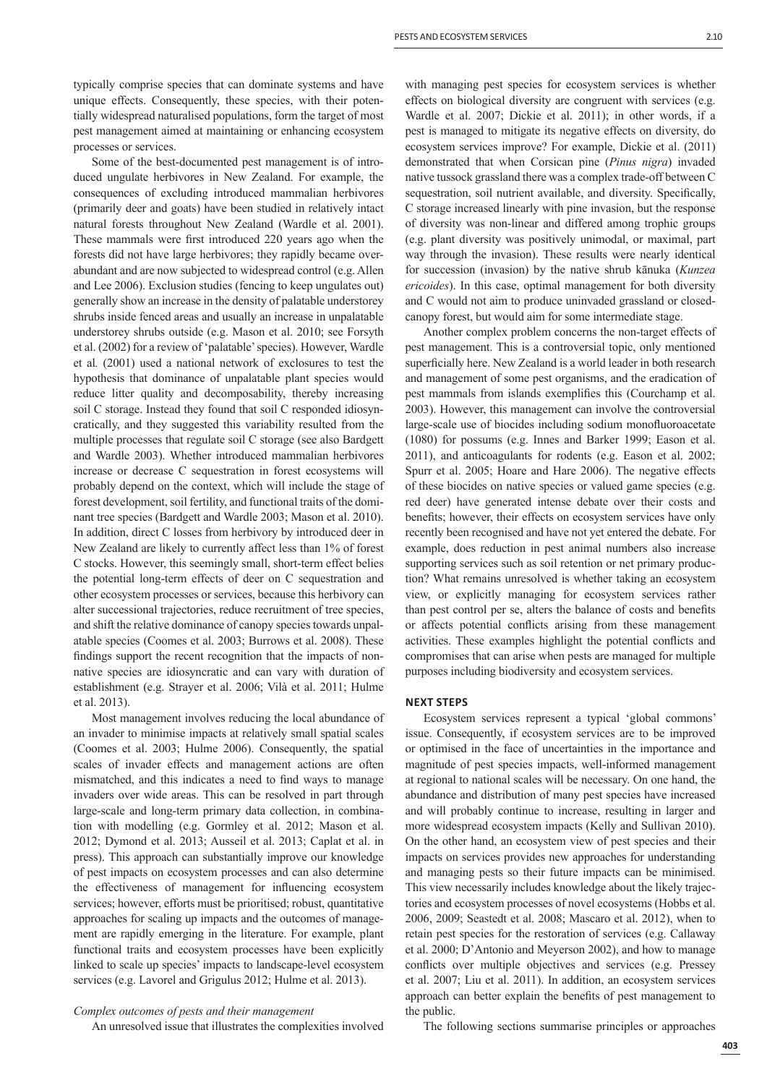typically comprise species that can dominate systems and have unique effects. Consequently, these species, with their potentially widespread naturalised populations, form the target of most pest management aimed at maintaining or enhancing ecosystem processes or services.

Some of the best-documented pest management is of introduced ungulate herbivores in New Zealand. For example, the consequences of excluding introduced mammalian herbivores (primarily deer and goats) have been studied in relatively intact natural forests throughout New Zealand (Wardle et al. 2001). These mammals were first introduced 220 years ago when the forests did not have large herbivores; they rapidly became overabundant and are now subjected to widespread control (e.g. Allen and Lee 2006). Exclusion studies (fencing to keep ungulates out) generally show an increase in the density of palatable understorey shrubs inside fenced areas and usually an increase in unpalatable understorey shrubs outside (e.g. Mason et al. 2010; see Forsyth et al. (2002) for a review of 'palatable' species). However, Wardle et al*.* (2001) used a national network of exclosures to test the hypothesis that dominance of unpalatable plant species would reduce litter quality and decomposability, thereby increasing soil C storage. Instead they found that soil C responded idiosyncratically, and they suggested this variability resulted from the multiple processes that regulate soil C storage (see also Bardgett and Wardle 2003). Whether introduced mammalian herbivores increase or decrease C sequestration in forest ecosystems will probably depend on the context, which will include the stage of forest development, soil fertility, and functional traits of the dominant tree species (Bardgett and Wardle 2003; Mason et al. 2010). In addition, direct C losses from herbivory by introduced deer in New Zealand are likely to currently affect less than 1% of forest C stocks. However, this seemingly small, short-term effect belies the potential long-term effects of deer on C sequestration and other ecosystem processes or services, because this herbivory can alter successional trajectories, reduce recruitment of tree species, and shift the relative dominance of canopy species towards unpalatable species (Coomes et al. 2003; Burrows et al. 2008). These findings support the recent recognition that the impacts of nonnative species are idiosyncratic and can vary with duration of establishment (e.g. Strayer et al. 2006; Vilà et al. 2011; Hulme et al. 2013).

Most management involves reducing the local abundance of an invader to minimise impacts at relatively small spatial scales (Coomes et al. 2003; Hulme 2006). Consequently, the spatial scales of invader effects and management actions are often mismatched, and this indicates a need to find ways to manage invaders over wide areas. This can be resolved in part through large-scale and long-term primary data collection, in combination with modelling (e.g. Gormley et al. 2012; Mason et al. 2012; Dymond et al. 2013; Ausseil et al. 2013; Caplat et al. in press). This approach can substantially improve our knowledge of pest impacts on ecosystem processes and can also determine the effectiveness of management for influencing ecosystem services; however, efforts must be prioritised; robust, quantitative approaches for scaling up impacts and the outcomes of management are rapidly emerging in the literature. For example, plant functional traits and ecosystem processes have been explicitly linked to scale up species' impacts to landscape-level ecosystem services (e.g. Lavorel and Grigulus 2012; Hulme et al. 2013).

#### *Complex outcomes of pests and their management*

An unresolved issue that illustrates the complexities involved

with managing pest species for ecosystem services is whether effects on biological diversity are congruent with services (e.g. Wardle et al. 2007; Dickie et al. 2011); in other words, if a pest is managed to mitigate its negative effects on diversity, do ecosystem services improve? For example, Dickie et al. (2011) demonstrated that when Corsican pine (*Pinus nigra*) invaded native tussock grassland there was a complex trade-off between C sequestration, soil nutrient available, and diversity. Specifically, C storage increased linearly with pine invasion, but the response of diversity was non-linear and differed among trophic groups (e.g. plant diversity was positively unimodal, or maximal, part way through the invasion). These results were nearly identical for succession (invasion) by the native shrub kānuka (*Kunzea ericoides*). In this case, optimal management for both diversity and C would not aim to produce uninvaded grassland or closedcanopy forest, but would aim for some intermediate stage.

Another complex problem concerns the non-target effects of pest management. This is a controversial topic, only mentioned superficially here. New Zealand is a world leader in both research and management of some pest organisms, and the eradication of pest mammals from islands exemplifies this (Courchamp et al. 2003). However, this management can involve the controversial large-scale use of biocides including sodium monofluoroacetate (1080) for possums (e.g. Innes and Barker 1999; Eason et al. 2011), and anticoagulants for rodents (e.g. Eason et al. 2002; Spurr et al. 2005; Hoare and Hare 2006). The negative effects of these biocides on native species or valued game species (e.g. red deer) have generated intense debate over their costs and benefits; however, their effects on ecosystem services have only recently been recognised and have not yet entered the debate. For example, does reduction in pest animal numbers also increase supporting services such as soil retention or net primary production? What remains unresolved is whether taking an ecosystem view, or explicitly managing for ecosystem services rather than pest control per se, alters the balance of costs and benefits or affects potential conflicts arising from these management activities. These examples highlight the potential conflicts and compromises that can arise when pests are managed for multiple purposes including biodiversity and ecosystem services.

### **NEXT STEPS**

Ecosystem services represent a typical 'global commons' issue. Consequently, if ecosystem services are to be improved or optimised in the face of uncertainties in the importance and magnitude of pest species impacts, well-informed management at regional to national scales will be necessary. On one hand, the abundance and distribution of many pest species have increased and will probably continue to increase, resulting in larger and more widespread ecosystem impacts (Kelly and Sullivan 2010). On the other hand, an ecosystem view of pest species and their impacts on services provides new approaches for understanding and managing pests so their future impacts can be minimised. This view necessarily includes knowledge about the likely trajectories and ecosystem processes of novel ecosystems (Hobbs et al. 2006, 2009; Seastedt et al. 2008; Mascaro et al. 2012), when to retain pest species for the restoration of services (e.g. Callaway et al. 2000; D'Antonio and Meyerson 2002), and how to manage conflicts over multiple objectives and services (e.g. Pressey et al. 2007; Liu et al. 2011). In addition, an ecosystem services approach can better explain the benefits of pest management to the public.

The following sections summarise principles or approaches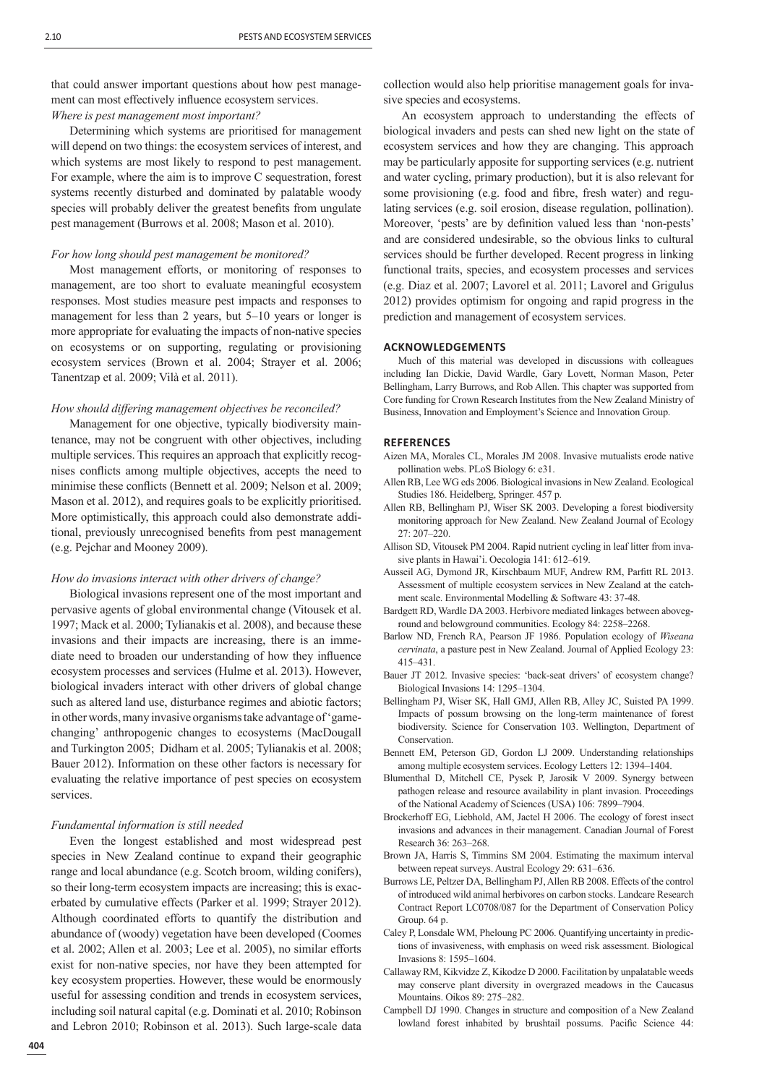that could answer important questions about how pest management can most effectively influence ecosystem services. *Where is pest management most important?*

Determining which systems are prioritised for management will depend on two things: the ecosystem services of interest, and which systems are most likely to respond to pest management. For example, where the aim is to improve C sequestration, forest systems recently disturbed and dominated by palatable woody species will probably deliver the greatest benefits from ungulate pest management (Burrows et al. 2008; Mason et al. 2010).

### *For how long should pest management be monitored?*

Most management efforts, or monitoring of responses to management, are too short to evaluate meaningful ecosystem responses. Most studies measure pest impacts and responses to management for less than 2 years, but 5–10 years or longer is more appropriate for evaluating the impacts of non-native species on ecosystems or on supporting, regulating or provisioning ecosystem services (Brown et al. 2004; Strayer et al. 2006; Tanentzap et al. 2009; Vilà et al. 2011).

### *How should differing management objectives be reconciled?*

Management for one objective, typically biodiversity maintenance, may not be congruent with other objectives, including multiple services. This requires an approach that explicitly recognises conflicts among multiple objectives, accepts the need to minimise these conflicts (Bennett et al. 2009; Nelson et al. 2009; Mason et al. 2012), and requires goals to be explicitly prioritised. More optimistically, this approach could also demonstrate additional, previously unrecognised benefits from pest management (e.g. Pejchar and Mooney 2009).

### *How do invasions interact with other drivers of change?*

Biological invasions represent one of the most important and pervasive agents of global environmental change (Vitousek et al. 1997; Mack et al. 2000; Tylianakis et al. 2008), and because these invasions and their impacts are increasing, there is an immediate need to broaden our understanding of how they influence ecosystem processes and services (Hulme et al. 2013). However, biological invaders interact with other drivers of global change such as altered land use, disturbance regimes and abiotic factors; in other words, many invasive organisms take advantage of 'gamechanging' anthropogenic changes to ecosystems (MacDougall and Turkington 2005; Didham et al. 2005; Tylianakis et al. 2008; Bauer 2012). Information on these other factors is necessary for evaluating the relative importance of pest species on ecosystem services.

# *Fundamental information is still needed*

Even the longest established and most widespread pest species in New Zealand continue to expand their geographic range and local abundance (e.g. Scotch broom, wilding conifers), so their long-term ecosystem impacts are increasing; this is exacerbated by cumulative effects (Parker et al. 1999; Strayer 2012). Although coordinated efforts to quantify the distribution and abundance of (woody) vegetation have been developed (Coomes et al. 2002; Allen et al. 2003; Lee et al. 2005), no similar efforts exist for non-native species, nor have they been attempted for key ecosystem properties. However, these would be enormously useful for assessing condition and trends in ecosystem services, including soil natural capital (e.g. Dominati et al. 2010; Robinson and Lebron 2010; Robinson et al. 2013). Such large-scale data

collection would also help prioritise management goals for invasive species and ecosystems.

An ecosystem approach to understanding the effects of biological invaders and pests can shed new light on the state of ecosystem services and how they are changing. This approach may be particularly apposite for supporting services (e.g. nutrient and water cycling, primary production), but it is also relevant for some provisioning (e.g. food and fibre, fresh water) and regulating services (e.g. soil erosion, disease regulation, pollination). Moreover, 'pests' are by definition valued less than 'non-pests' and are considered undesirable, so the obvious links to cultural services should be further developed. Recent progress in linking functional traits, species, and ecosystem processes and services (e.g. Diaz et al. 2007; Lavorel et al. 2011; Lavorel and Grigulus 2012) provides optimism for ongoing and rapid progress in the prediction and management of ecosystem services.

#### **ACKNOWLEDGEMENTS**

Much of this material was developed in discussions with colleagues including Ian Dickie, David Wardle, Gary Lovett, Norman Mason, Peter Bellingham, Larry Burrows, and Rob Allen. This chapter was supported from Core funding for Crown Research Institutes from the New Zealand Ministry of Business, Innovation and Employment's Science and Innovation Group.

#### **REFERENCES**

- Aizen MA, Morales CL, Morales JM 2008. Invasive mutualists erode native pollination webs. PLoS Biology 6: e31.
- Allen RB, Lee WG eds 2006. Biological invasions in New Zealand. Ecological Studies 186. Heidelberg, Springer. 457 p.
- Allen RB, Bellingham PJ, Wiser SK 2003. Developing a forest biodiversity monitoring approach for New Zealand. New Zealand Journal of Ecology 27: 207–220.
- Allison SD, Vitousek PM 2004. Rapid nutrient cycling in leaf litter from invasive plants in Hawai'i. Oecologia 141: 612–619.
- Ausseil AG, Dymond JR, Kirschbaum MUF, Andrew RM, Parfitt RL 2013. Assessment of multiple ecosystem services in New Zealand at the catchment scale. Environmental Modelling & Software 43: 37-48.
- Bardgett RD, Wardle DA 2003. Herbivore mediated linkages between aboveground and belowground communities. Ecology 84: 2258–2268.
- Barlow ND, French RA, Pearson JF 1986. Population ecology of *Wiseana cervinata*, a pasture pest in New Zealand. Journal of Applied Ecology 23: 415–431.
- Bauer JT 2012. Invasive species: 'back-seat drivers' of ecosystem change? Biological Invasions 14: 1295–1304.
- Bellingham PJ, Wiser SK, Hall GMJ, Allen RB, Alley JC, Suisted PA 1999. Impacts of possum browsing on the long-term maintenance of forest biodiversity. Science for Conservation 103. Wellington, Department of Conservation.
- Bennett EM, Peterson GD, Gordon LJ 2009. Understanding relationships among multiple ecosystem services. Ecology Letters 12: 1394–1404.
- Blumenthal D, Mitchell CE, Pysek P, Jarosik V 2009. Synergy between pathogen release and resource availability in plant invasion. Proceedings of the National Academy of Sciences (USA) 106: 7899–7904.
- Brockerhoff EG, Liebhold, AM, Jactel H 2006. The ecology of forest insect invasions and advances in their management. Canadian Journal of Forest Research 36: 263–268.
- Brown JA, Harris S, Timmins SM 2004. Estimating the maximum interval between repeat surveys. Austral Ecology 29: 631–636.
- Burrows LE, Peltzer DA, Bellingham PJ, Allen RB 2008. Effects of the control of introduced wild animal herbivores on carbon stocks. Landcare Research Contract Report LC0708/087 for the Department of Conservation Policy Group. 64 p.
- Caley P, Lonsdale WM, Pheloung PC 2006. Quantifying uncertainty in predictions of invasiveness, with emphasis on weed risk assessment. Biological Invasions 8: 1595–1604.
- Callaway RM, Kikvidze Z, Kikodze D 2000. Facilitation by unpalatable weeds may conserve plant diversity in overgrazed meadows in the Caucasus Mountains. Oikos 89: 275–282.
- Campbell DJ 1990. Changes in structure and composition of a New Zealand lowland forest inhabited by brushtail possums. Pacific Science 44: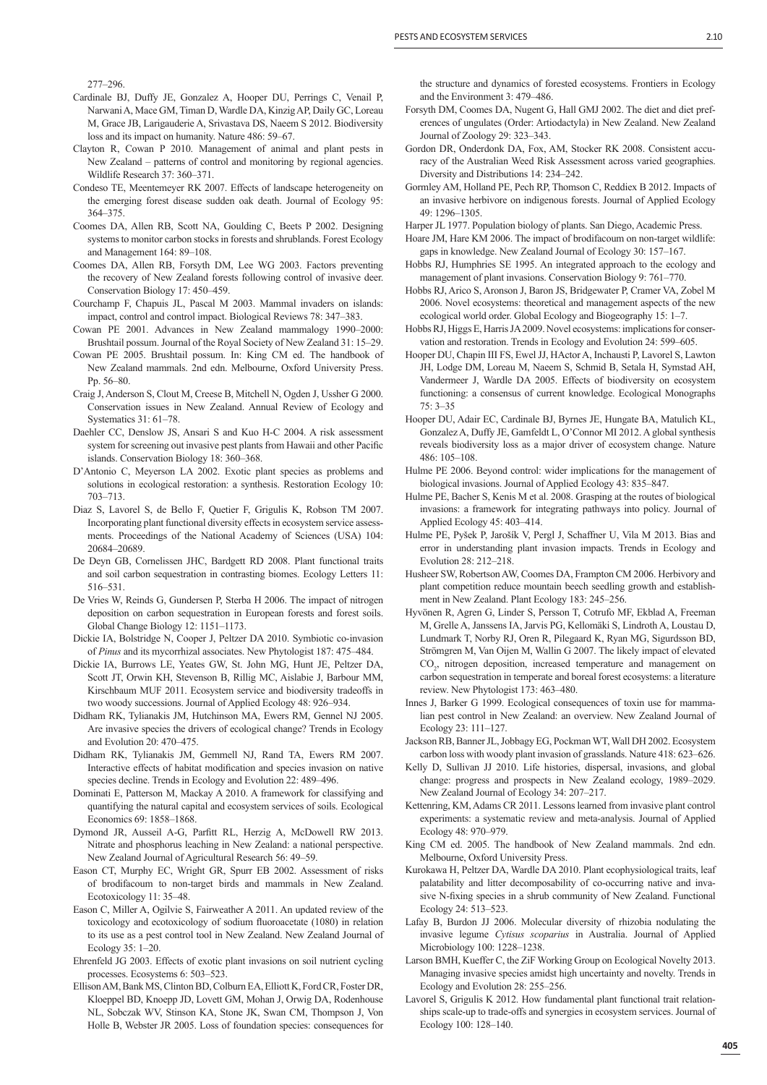277–296.

- Cardinale BJ, Duffy JE, Gonzalez A, Hooper DU, Perrings C, Venail P, Narwani A, Mace GM, Timan D, Wardle DA, Kinzig AP, Daily GC, Loreau M, Grace JB, Larigauderie A, Srivastava DS, Naeem S 2012. Biodiversity loss and its impact on humanity. Nature 486: 59–67.
- Clayton R, Cowan P 2010. Management of animal and plant pests in New Zealand – patterns of control and monitoring by regional agencies. Wildlife Research 37: 360–371.
- Condeso TE, Meentemeyer RK 2007. Effects of landscape heterogeneity on the emerging forest disease sudden oak death. Journal of Ecology 95: 364–375.
- Coomes DA, Allen RB, Scott NA, Goulding C, Beets P 2002. Designing systems to monitor carbon stocks in forests and shrublands. Forest Ecology and Management 164: 89–108.
- Coomes DA, Allen RB, Forsyth DM, Lee WG 2003. Factors preventing the recovery of New Zealand forests following control of invasive deer. Conservation Biology 17: 450–459.
- Courchamp F, Chapuis JL, Pascal M 2003. Mammal invaders on islands: impact, control and control impact. Biological Reviews 78: 347–383.
- Cowan PE 2001. Advances in New Zealand mammalogy 1990–2000: Brushtail possum. Journal of the Royal Society of New Zealand 31: 15–29.
- Cowan PE 2005. Brushtail possum. In: King CM ed. The handbook of New Zealand mammals. 2nd edn. Melbourne, Oxford University Press. Pp. 56–80.
- Craig J, Anderson S, Clout M, Creese B, Mitchell N, Ogden J, Ussher G 2000. Conservation issues in New Zealand. Annual Review of Ecology and Systematics 31: 61–78.
- Daehler CC, Denslow JS, Ansari S and Kuo H-C 2004. A risk assessment system for screening out invasive pest plants from Hawaii and other Pacific islands. Conservation Biology 18: 360–368.
- D'Antonio C, Meyerson LA 2002. Exotic plant species as problems and solutions in ecological restoration: a synthesis. Restoration Ecology 10: 703–713.
- Diaz S, Lavorel S, de Bello F, Quetier F, Grigulis K, Robson TM 2007. Incorporating plant functional diversity effects in ecosystem service assessments. Proceedings of the National Academy of Sciences (USA) 104: 20684–20689.
- De Deyn GB, Cornelissen JHC, Bardgett RD 2008. Plant functional traits and soil carbon sequestration in contrasting biomes. Ecology Letters 11: 516–531.
- De Vries W, Reinds G, Gundersen P, Sterba H 2006. The impact of nitrogen deposition on carbon sequestration in European forests and forest soils. Global Change Biology 12: 1151–1173.
- Dickie IA, Bolstridge N, Cooper J, Peltzer DA 2010. Symbiotic co-invasion of *Pinus* and its mycorrhizal associates. New Phytologist 187: 475–484.
- Dickie IA, Burrows LE, Yeates GW, St. John MG, Hunt JE, Peltzer DA, Scott JT, Orwin KH, Stevenson B, Rillig MC, Aislabie J, Barbour MM, Kirschbaum MUF 2011. Ecosystem service and biodiversity tradeoffs in two woody successions. Journal of Applied Ecology 48: 926–934.
- Didham RK, Tylianakis JM, Hutchinson MA, Ewers RM, Gennel NJ 2005. Are invasive species the drivers of ecological change? Trends in Ecology and Evolution 20: 470–475.
- Didham RK, Tylianakis JM, Gemmell NJ, Rand TA, Ewers RM 2007. Interactive effects of habitat modification and species invasion on native species decline. Trends in Ecology and Evolution 22: 489–496.
- Dominati E, Patterson M, Mackay A 2010. A framework for classifying and quantifying the natural capital and ecosystem services of soils. Ecological Economics 69: 1858–1868.
- Dymond JR, Ausseil A-G, Parfitt RL, Herzig A, McDowell RW 2013. Nitrate and phosphorus leaching in New Zealand: a national perspective. New Zealand Journal of Agricultural Research 56: 49–59.
- Eason CT, Murphy EC, Wright GR, Spurr EB 2002. Assessment of risks of brodifacoum to non-target birds and mammals in New Zealand. Ecotoxicology 11: 35–48.
- Eason C, Miller A, Ogilvie S, Fairweather A 2011. An updated review of the toxicology and ecotoxicology of sodium fluoroacetate (1080) in relation to its use as a pest control tool in New Zealand. New Zealand Journal of Ecology 35: 1–20.
- Ehrenfeld JG 2003. Effects of exotic plant invasions on soil nutrient cycling processes. Ecosystems 6: 503–523.
- Ellison AM, Bank MS, Clinton BD, Colburn EA, Elliott K, Ford CR, Foster DR, Kloeppel BD, Knoepp JD, Lovett GM, Mohan J, Orwig DA, Rodenhouse NL, Sobczak WV, Stinson KA, Stone JK, Swan CM, Thompson J, Von Holle B, Webster JR 2005. Loss of foundation species: consequences for

the structure and dynamics of forested ecosystems. Frontiers in Ecology and the Environment 3: 479–486.

- Forsyth DM, Coomes DA, Nugent G, Hall GMJ 2002. The diet and diet preferences of ungulates (Order: Artiodactyla) in New Zealand. New Zealand Journal of Zoology 29: 323–343.
- Gordon DR, Onderdonk DA, Fox, AM, Stocker RK 2008. Consistent accuracy of the Australian Weed Risk Assessment across varied geographies. Diversity and Distributions 14: 234–242.
- Gormley AM, Holland PE, Pech RP, Thomson C, Reddiex B 2012. Impacts of an invasive herbivore on indigenous forests. Journal of Applied Ecology 49: 1296–1305.
- Harper JL 1977. Population biology of plants. San Diego, Academic Press.
- Hoare JM, Hare KM 2006. The impact of brodifacoum on non-target wildlife: gaps in knowledge. New Zealand Journal of Ecology 30: 157–167.
- Hobbs RJ, Humphries SE 1995. An integrated approach to the ecology and management of plant invasions. Conservation Biology 9: 761–770.
- Hobbs RJ, Arico S, Aronson J, Baron JS, Bridgewater P, Cramer VA, Zobel M 2006. Novel ecosystems: theoretical and management aspects of the new ecological world order. Global Ecology and Biogeography 15: 1–7.
- Hobbs RJ, Higgs E, Harris JA 2009. Novel ecosystems: implications for conservation and restoration. Trends in Ecology and Evolution 24: 599–605.
- Hooper DU, Chapin III FS, Ewel JJ, HActor A, Inchausti P, Lavorel S, Lawton JH, Lodge DM, Loreau M, Naeem S, Schmid B, Setala H, Symstad AH, Vandermeer J, Wardle DA 2005. Effects of biodiversity on ecosystem functioning: a consensus of current knowledge. Ecological Monographs 75: 3–35
- Hooper DU, Adair EC, Cardinale BJ, Byrnes JE, Hungate BA, Matulich KL, Gonzalez A, Duffy JE, Gamfeldt L, O'Connor MI 2012. A global synthesis reveals biodiversity loss as a major driver of ecosystem change. Nature 486: 105–108.
- Hulme PE 2006. Beyond control: wider implications for the management of biological invasions. Journal of Applied Ecology 43: 835–847.
- Hulme PE, Bacher S, Kenis M et al. 2008. Grasping at the routes of biological invasions: a framework for integrating pathways into policy. Journal of Applied Ecology 45: 403–414.
- Hulme PE, Pyšek P, Jarošík V, Pergl J, Schaffner U, Vila M 2013. Bias and error in understanding plant invasion impacts. Trends in Ecology and Evolution 28: 212–218.
- Husheer SW, Robertson AW, Coomes DA, Frampton CM 2006. Herbivory and plant competition reduce mountain beech seedling growth and establishment in New Zealand. Plant Ecology 183: 245–256.
- Hyvönen R, Agren G, Linder S, Persson T, Cotrufo MF, Ekblad A, Freeman M, Grelle A, Janssens IA, Jarvis PG, Kellomäki S, Lindroth A, Loustau D, Lundmark T, Norby RJ, Oren R, Pilegaard K, Ryan MG, Sigurdsson BD, Strömgren M, Van Oijen M, Wallin G 2007. The likely impact of elevated CO<sub>2</sub>, nitrogen deposition, increased temperature and management on carbon sequestration in temperate and boreal forest ecosystems: a literature review. New Phytologist 173: 463–480.
- Innes J, Barker G 1999. Ecological consequences of toxin use for mammalian pest control in New Zealand: an overview. New Zealand Journal of Ecology 23: 111–127.
- Jackson RB, Banner JL, Jobbagy EG, Pockman WT, Wall DH 2002. Ecosystem carbon loss with woody plant invasion of grasslands. Nature 418: 623–626.
- Kelly D, Sullivan JJ 2010. Life histories, dispersal, invasions, and global change: progress and prospects in New Zealand ecology, 1989–2029. New Zealand Journal of Ecology 34: 207–217.
- Kettenring, KM, Adams CR 2011. Lessons learned from invasive plant control experiments: a systematic review and meta-analysis. Journal of Applied Ecology 48: 970–979.
- King CM ed. 2005. The handbook of New Zealand mammals. 2nd edn. Melbourne, Oxford University Press.
- Kurokawa H, Peltzer DA, Wardle DA 2010. Plant ecophysiological traits, leaf palatability and litter decomposability of co-occurring native and invasive N-fixing species in a shrub community of New Zealand. Functional Ecology 24: 513–523.
- Lafay B, Burdon JJ 2006. Molecular diversity of rhizobia nodulating the invasive legume *Cytisus scoparius* in Australia. Journal of Applied Microbiology 100: 1228–1238.
- Larson BMH, Kueffer C, the ZiF Working Group on Ecological Novelty 2013. Managing invasive species amidst high uncertainty and novelty. Trends in Ecology and Evolution 28: 255–256.
- Lavorel S, Grigulis K 2012. How fundamental plant functional trait relationships scale-up to trade-offs and synergies in ecosystem services. Journal of Ecology 100: 128–140.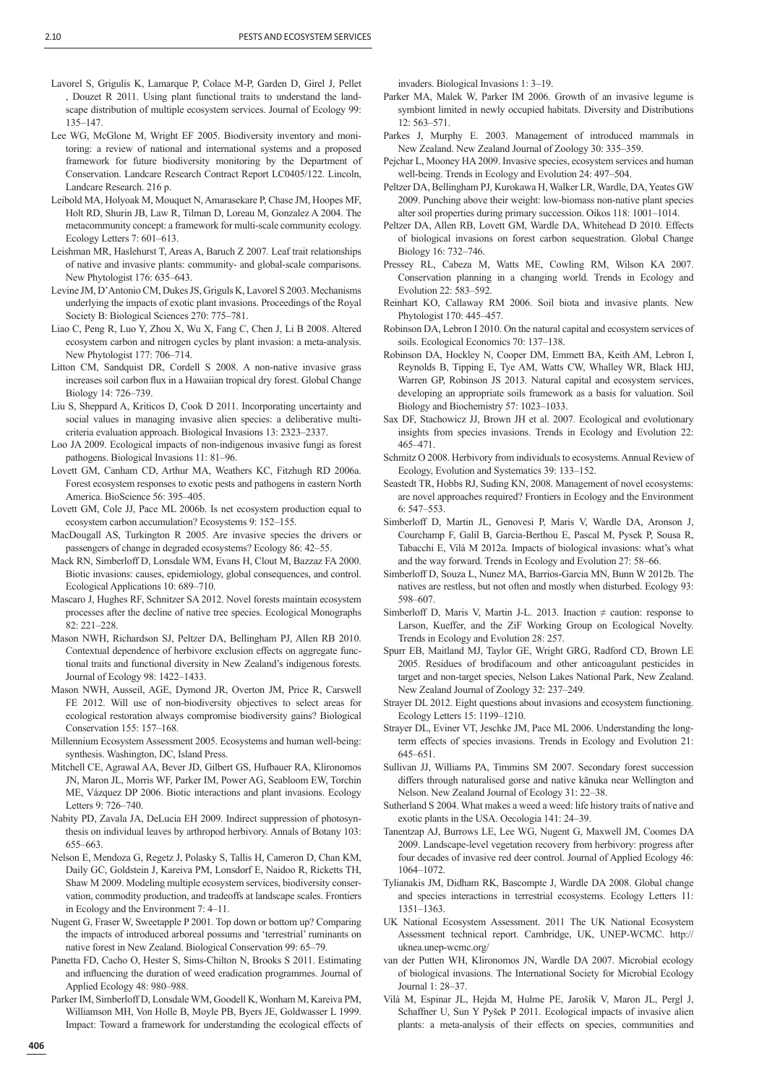- Lavorel S, Grigulis K, Lamarque P, Colace M-P, Garden D, Girel J, Pellet , Douzet R 2011. Using plant functional traits to understand the landscape distribution of multiple ecosystem services. Journal of Ecology 99: 135–147.
- Lee WG, McGlone M, Wright EF 2005. Biodiversity inventory and monitoring: a review of national and international systems and a proposed framework for future biodiversity monitoring by the Department of Conservation. Landcare Research Contract Report LC0405/122. Lincoln, Landcare Research. 216 p.
- Leibold MA, Holyoak M, Mouquet N, Amarasekare P, Chase JM, Hoopes MF, Holt RD, Shurin JB, Law R, Tilman D, Loreau M, Gonzalez A 2004. The metacommunity concept: a framework for multi-scale community ecology. Ecology Letters 7: 601–613.
- Leishman MR, Haslehurst T, Areas A, Baruch Z 2007. Leaf trait relationships of native and invasive plants: community- and global-scale comparisons. New Phytologist 176: 635–643.
- Levine JM, D'Antonio CM, Dukes JS, Griguls K, Lavorel S 2003. Mechanisms underlying the impacts of exotic plant invasions. Proceedings of the Royal Society B: Biological Sciences 270: 775–781.
- Liao C, Peng R, Luo Y, Zhou X, Wu X, Fang C, Chen J, Li B 2008. Altered ecosystem carbon and nitrogen cycles by plant invasion: a meta-analysis. New Phytologist 177: 706–714.
- Litton CM, Sandquist DR, Cordell S 2008. A non-native invasive grass increases soil carbon flux in a Hawaiian tropical dry forest. Global Change Biology 14: 726–739.
- Liu S, Sheppard A, Kriticos D, Cook D 2011. Incorporating uncertainty and social values in managing invasive alien species: a deliberative multicriteria evaluation approach. Biological Invasions 13: 2323–2337.
- Loo JA 2009. Ecological impacts of non-indigenous invasive fungi as forest pathogens. Biological Invasions 11: 81–96.
- Lovett GM, Canham CD, Arthur MA, Weathers KC, Fitzhugh RD 2006a. Forest ecosystem responses to exotic pests and pathogens in eastern North America. BioScience 56: 395–405.
- Lovett GM, Cole JJ, Pace ML 2006b. Is net ecosystem production equal to ecosystem carbon accumulation? Ecosystems 9: 152–155.
- MacDougall AS, Turkington R 2005. Are invasive species the drivers or passengers of change in degraded ecosystems? Ecology 86: 42–55.
- Mack RN, Simberloff D, Lonsdale WM, Evans H, Clout M, Bazzaz FA 2000. Biotic invasions: causes, epidemiology, global consequences, and control. Ecological Applications 10: 689–710.
- Mascaro J, Hughes RF, Schnitzer SA 2012. Novel forests maintain ecosystem processes after the decline of native tree species. Ecological Monographs 82: 221–228.
- Mason NWH, Richardson SJ, Peltzer DA, Bellingham PJ, Allen RB 2010. Contextual dependence of herbivore exclusion effects on aggregate functional traits and functional diversity in New Zealand's indigenous forests. Journal of Ecology 98: 1422–1433.
- Mason NWH, Ausseil, AGE, Dymond JR, Overton JM, Price R, Carswell FE 2012. Will use of non-biodiversity objectives to select areas for ecological restoration always compromise biodiversity gains? Biological Conservation 155: 157–168.
- Millennium Ecosystem Assessment 2005. Ecosystems and human well-being: synthesis. Washington, DC, Island Press.
- Mitchell CE, Agrawal AA, Bever JD, Gilbert GS, Hufbauer RA, Klironomos JN, Maron JL, Morris WF, Parker IM, Power AG, Seabloom EW, Torchin ME, Vázquez DP 2006. Biotic interactions and plant invasions. Ecology Letters 9: 726–740.
- Nabity PD, Zavala JA, DeLucia EH 2009. Indirect suppression of photosynthesis on individual leaves by arthropod herbivory. Annals of Botany 103: 655–663.
- Nelson E, Mendoza G, Regetz J, Polasky S, Tallis H, Cameron D, Chan KM, Daily GC, Goldstein J, Kareiva PM, Lonsdorf E, Naidoo R, Ricketts TH, Shaw M 2009. Modeling multiple ecosystem services, biodiversity conservation, commodity production, and tradeoffs at landscape scales. Frontiers in Ecology and the Environment 7: 4–11.
- Nugent G, Fraser W, Sweetapple P 2001. Top down or bottom up? Comparing the impacts of introduced arboreal possums and 'terrestrial' ruminants on native forest in New Zealand. Biological Conservation 99: 65–79.
- Panetta FD, Cacho O, Hester S, Sims-Chilton N, Brooks S 2011. Estimating and influencing the duration of weed eradication programmes. Journal of Applied Ecology 48: 980–988.
- Parker IM, Simberloff D, Lonsdale WM, Goodell K, Wonham M, Kareiva PM, Williamson MH, Von Holle B, Moyle PB, Byers JE, Goldwasser L 1999. Impact: Toward a framework for understanding the ecological effects of

invaders. Biological Invasions 1: 3–19.

- Parker MA, Malek W, Parker IM 2006. Growth of an invasive legume is symbiont limited in newly occupied habitats. Diversity and Distributions 12: 563–571.
- Parkes J, Murphy E. 2003. Management of introduced mammals in New Zealand. New Zealand Journal of Zoology 30: 335–359.
- Pejchar L, Mooney HA 2009. Invasive species, ecosystem services and human well-being. Trends in Ecology and Evolution 24: 497–504.
- Peltzer DA, Bellingham PJ, Kurokawa H, Walker LR, Wardle, DA, Yeates GW 2009. Punching above their weight: low-biomass non-native plant species alter soil properties during primary succession. Oikos 118: 1001–1014.
- Peltzer DA, Allen RB, Lovett GM, Wardle DA, Whitehead D 2010. Effects of biological invasions on forest carbon sequestration. Global Change Biology 16: 732–746.
- Pressey RL, Cabeza M, Watts ME, Cowling RM, Wilson KA 2007. Conservation planning in a changing world. Trends in Ecology and Evolution 22: 583–592.
- Reinhart KO, Callaway RM 2006. Soil biota and invasive plants. New Phytologist 170: 445–457.
- Robinson DA, Lebron I 2010. On the natural capital and ecosystem services of soils. Ecological Economics 70: 137–138.
- Robinson DA, Hockley N, Cooper DM, Emmett BA, Keith AM, Lebron I, Reynolds B, Tipping E, Tye AM, Watts CW, Whalley WR, Black HIJ, Warren GP, Robinson JS 2013. Natural capital and ecosystem services, developing an appropriate soils framework as a basis for valuation. Soil Biology and Biochemistry 57: 1023–1033.
- Sax DF, Stachowicz JJ, Brown JH et al. 2007. Ecological and evolutionary insights from species invasions. Trends in Ecology and Evolution 22: 465–471.
- Schmitz O 2008. Herbivory from individuals to ecosystems. Annual Review of Ecology, Evolution and Systematics 39: 133–152.
- Seastedt TR, Hobbs RJ, Suding KN, 2008. Management of novel ecosystems: are novel approaches required? Frontiers in Ecology and the Environment 6: 547–553.
- Simberloff D, Martin JL, Genovesi P, Maris V, Wardle DA, Aronson J, Courchamp F, Galil B, Garcia-Berthou E, Pascal M, Pysek P, Sousa R, Tabacchi E, Vilá M 2012a. Impacts of biological invasions: what's what and the way forward. Trends in Ecology and Evolution 27: 58–66.
- Simberloff D, Souza L, Nunez MA, Barrios-Garcia MN, Bunn W 2012b. The natives are restless, but not often and mostly when disturbed. Ecology 93: 598–607.
- Simberloff D, Maris V, Martin J-L. 2013. Inaction  $\neq$  caution: response to Larson, Kueffer, and the ZiF Working Group on Ecological Novelty. Trends in Ecology and Evolution 28: 257.
- Spurr EB, Maitland MJ, Taylor GE, Wright GRG, Radford CD, Brown LE 2005. Residues of brodifacoum and other anticoagulant pesticides in target and non-target species, Nelson Lakes National Park, New Zealand. New Zealand Journal of Zoology 32: 237–249.
- Strayer DL 2012. Eight questions about invasions and ecosystem functioning. Ecology Letters 15: 1199–1210.
- Strayer DL, Eviner VT, Jeschke JM, Pace ML 2006. Understanding the longterm effects of species invasions. Trends in Ecology and Evolution 21: 645–651.
- Sullivan JJ, Williams PA, Timmins SM 2007. Secondary forest succession differs through naturalised gorse and native kānuka near Wellington and Nelson. New Zealand Journal of Ecology 31: 22–38.
- Sutherland S 2004. What makes a weed a weed: life history traits of native and exotic plants in the USA. Oecologia 141: 24–39.
- Tanentzap AJ, Burrows LE, Lee WG, Nugent G, Maxwell JM, Coomes DA 2009. Landscape-level vegetation recovery from herbivory: progress after four decades of invasive red deer control. Journal of Applied Ecology 46: 1064–1072.
- Tylianakis JM, Didham RK, Bascompte J, Wardle DA 2008. Global change and species interactions in terrestrial ecosystems. Ecology Letters 11: 1351–1363.
- UK National Ecosystem Assessment. 2011 The UK National Ecosystem Assessment technical report. Cambridge, UK, UNEP-WCMC. http:// uknea.unep-wcmc.org/
- van der Putten WH, Klironomos JN, Wardle DA 2007. Microbial ecology of biological invasions. The International Society for Microbial Ecology Journal 1: 28–37.
- Vilà M, Espinar JL, Hejda M, Hulme PE, Jarošík V, Maron JL, Pergl J, Schaffner U, Sun Y Pyšek P 2011. Ecological impacts of invasive alien plants: a meta-analysis of their effects on species, communities and